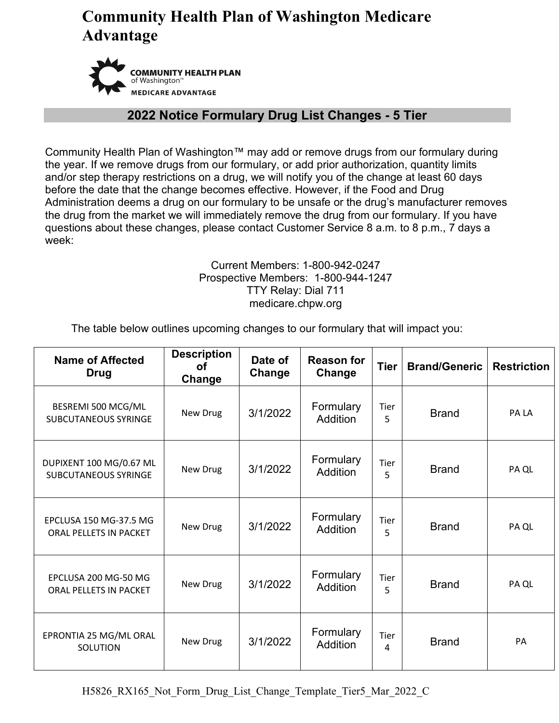# **Community Health Plan of Washington Medicare Advantage**



#### **2022 Notice Formulary Drug List Changes - 5 Tier**

Community Health Plan of Washington™ may add or remove drugs from our formulary during the year. If we remove drugs from our formulary, or add prior authorization, quantity limits and/or step therapy restrictions on a drug, we will notify you of the change at least 60 days before the date that the change becomes effective. However, if the Food and Drug Administration deems a drug on our formulary to be unsafe or the drug's manufacturer removes the drug from the market we will immediately remove the drug from our formulary. If you have questions about these changes, please contact Customer Service 8 a.m. to 8 p.m., 7 days a week:

#### Current Members: 1-800-942-0247 Prospective Members: 1-800-944-1247 TTY Relay: Dial 711 medicare.chpw.org

The table below outlines upcoming changes to our formulary that will impact you:

| <b>Name of Affected</b><br><b>Drug</b>                 | <b>Description</b><br><b>of</b><br>Change | Date of<br>Change | <b>Reason for</b><br>Change  | <b>Tier</b>      | <b>Brand/Generic</b> | <b>Restriction</b> |
|--------------------------------------------------------|-------------------------------------------|-------------------|------------------------------|------------------|----------------------|--------------------|
| BESREMI 500 MCG/ML<br><b>SUBCUTANEOUS SYRINGE</b>      | New Drug                                  | 3/1/2022          | Formulary<br><b>Addition</b> | Tier<br>5        | <b>Brand</b>         | PA LA              |
| DUPIXENT 100 MG/0.67 ML<br><b>SUBCUTANEOUS SYRINGE</b> | New Drug                                  | 3/1/2022          | Formulary<br><b>Addition</b> | Tier<br>5        | <b>Brand</b>         | PA QL              |
| EPCLUSA 150 MG-37.5 MG<br>ORAL PELLETS IN PACKET       | New Drug                                  | 3/1/2022          | Formulary<br><b>Addition</b> | Tier<br>5        | <b>Brand</b>         | PA QL              |
| EPCLUSA 200 MG-50 MG<br>ORAL PELLETS IN PACKET         | New Drug                                  | 3/1/2022          | Formulary<br><b>Addition</b> | Tier<br>5        | <b>Brand</b>         | PA QL              |
| EPRONTIA 25 MG/ML ORAL<br>SOLUTION                     | New Drug                                  | 3/1/2022          | Formulary<br><b>Addition</b> | <b>Tier</b><br>4 | <b>Brand</b>         | PA                 |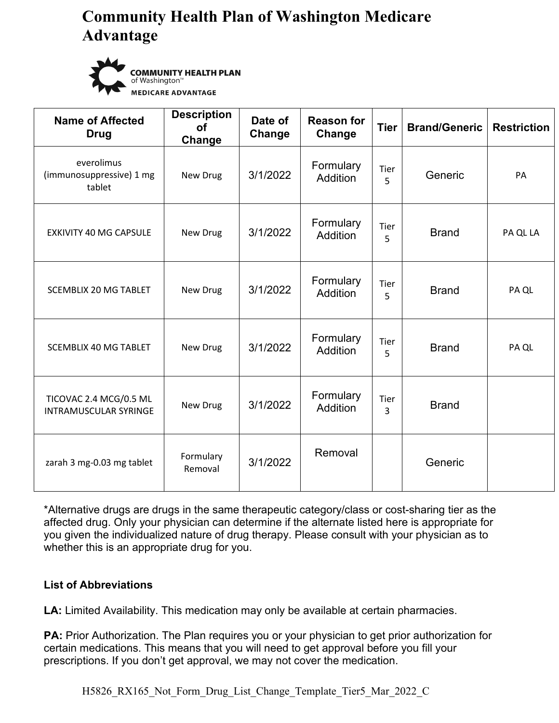# **Community Health Plan of Washington Medicare Advantage**



**COMMUNITY HEALTH PLAN** of Washington<sup>™</sup> **MEDICARE ADVANTAGE** 

| <b>Name of Affected</b><br><b>Drug</b>                 | <b>Description</b><br><b>of</b><br>Change | Date of<br>Change | <b>Reason for</b><br>Change  | <b>Tier</b> | <b>Brand/Generic</b> | <b>Restriction</b> |
|--------------------------------------------------------|-------------------------------------------|-------------------|------------------------------|-------------|----------------------|--------------------|
| everolimus<br>(immunosuppressive) 1 mg<br>tablet       | New Drug                                  | 3/1/2022          | Formulary<br>Addition        | Tier<br>5   | Generic              | <b>PA</b>          |
| <b>EXKIVITY 40 MG CAPSULE</b>                          | New Drug                                  | 3/1/2022          | Formulary<br><b>Addition</b> | Tier<br>5   | <b>Brand</b>         | PA QL LA           |
| <b>SCEMBLIX 20 MG TABLET</b>                           | New Drug                                  | 3/1/2022          | Formulary<br>Addition        | Tier<br>5   | <b>Brand</b>         | PA QL              |
| <b>SCEMBLIX 40 MG TABLET</b>                           | New Drug                                  | 3/1/2022          | Formulary<br><b>Addition</b> | Tier<br>5   | <b>Brand</b>         | PA QL              |
| TICOVAC 2.4 MCG/0.5 ML<br><b>INTRAMUSCULAR SYRINGE</b> | New Drug                                  | 3/1/2022          | Formulary<br>Addition        | Tier<br>3   | <b>Brand</b>         |                    |
| zarah 3 mg-0.03 mg tablet                              | Formulary<br>Removal                      | 3/1/2022          | Removal                      |             | Generic              |                    |

\*Alternative drugs are drugs in the same therapeutic category/class or cost-sharing tier as the affected drug. Only your physician can determine if the alternate listed here is appropriate for you given the individualized nature of drug therapy. Please consult with your physician as to whether this is an appropriate drug for you.

#### **List of Abbreviations**

**LA:** Limited Availability. This medication may only be available at certain pharmacies.

**PA:** Prior Authorization. The Plan requires you or your physician to get prior authorization for certain medications. This means that you will need to get approval before you fill your prescriptions. If you don't get approval, we may not cover the medication.

H5826 RX165 Not Form Drug List Change Template Tier5 Mar 2022 C